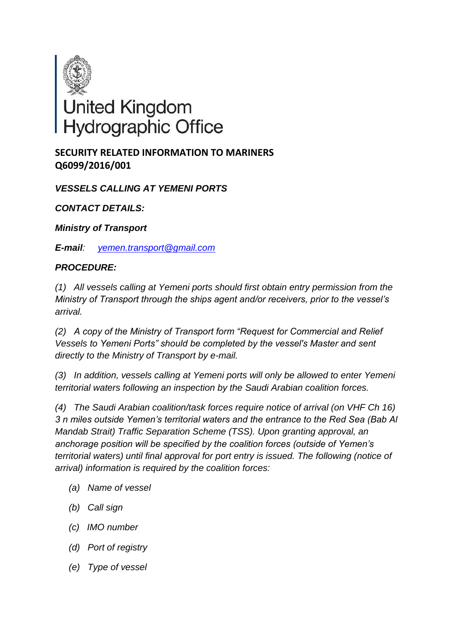

## **SECURITY RELATED INFORMATION TO MARINERS Q6099/2016/001**

*VESSELS CALLING AT YEMENI PORTS*

*CONTACT DETAILS:*

*Ministry of Transport*

*E-mail: [yemen.transport@gmail.com](Hyperlink|mailto:yemen.transport@gmail.com)*

## *PROCEDURE:*

*(1) All vessels calling at Yemeni ports should first obtain entry permission from the Ministry of Transport through the ships agent and/or receivers, prior to the vessel's arrival.*

*(2) A copy of the Ministry of Transport form "Request for Commercial and Relief Vessels to Yemeni Ports" should be completed by the vessel's Master and sent directly to the Ministry of Transport by e-mail.*

*(3) In addition, vessels calling at Yemeni ports will only be allowed to enter Yemeni territorial waters following an inspection by the Saudi Arabian coalition forces.*

*(4) The Saudi Arabian coalition/task forces require notice of arrival (on VHF Ch 16) 3 n miles outside Yemen's territorial waters and the entrance to the Red Sea (Bab Al Mandab Strait) Traffic Separation Scheme (TSS). Upon granting approval, an anchorage position will be specified by the coalition forces (outside of Yemen's territorial waters) until final approval for port entry is issued. The following (notice of arrival) information is required by the coalition forces:*

- *(a) Name of vessel*
- *(b) Call sign*
- *(c) IMO number*
- *(d) Port of registry*
- *(e) Type of vessel*